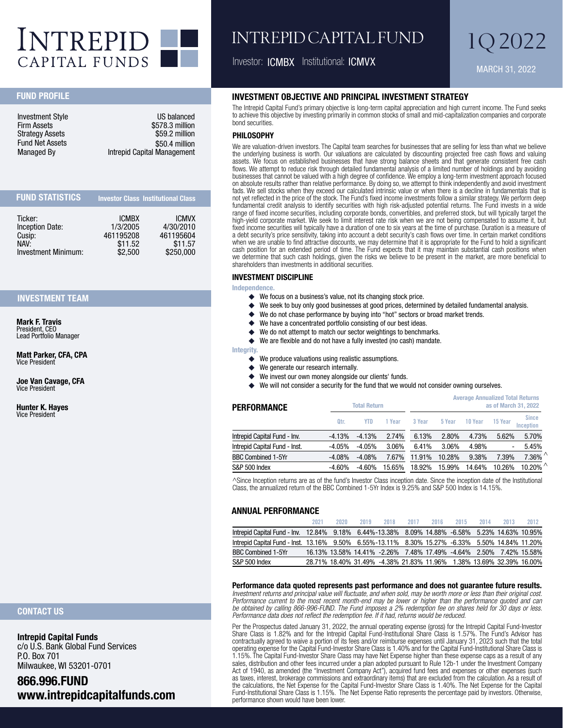

# INTREPID CAPITAL FUND

Investor: ICMBX Institutional: ICMVX MARCH 31, 2022

1Q 2022

# FUND PROFILE

| US balanced                 |
|-----------------------------|
| \$578.3 million             |
| \$59.2 million              |
| \$50.4 million              |
| Intrepid Capital Management |
|                             |

| <b>FUND STATISTICS</b> |              | <b>Investor Class Institutional Class</b> |
|------------------------|--------------|-------------------------------------------|
| Ticker:                | <b>ICMBX</b> | <b>ICMVX</b>                              |
| Inception Date:        | 1/3/2005     | 4/30/2010                                 |
| Cusip:                 | 461195208    | 461195604                                 |
| NAV:                   | \$11.52      | \$11.57                                   |
| Investment Minimum:    | \$2,500      | \$250,000                                 |

# INVESTMENT TEAM

Mark F. Travis President, CEO Lead Portfolio Manager

Matt Parker, CFA, CPA Vice President

Joe Van Cavage, CFA Vice President

Hunter K. Hayes Vice President

# INVESTMENT OBJECTIVE AND PRINCIPAL INVESTMENT STRATEGY

The Intrepid Capital Fund's primary objective is long-term capital appreciation and high current income. The Fund seeks to achieve this objective by investing primarily in common stocks of small and mid-capitalization companies and corporate bond securities.

#### PHILOSOPHY

We are valuation-driven investors. The Capital team searches for businesses that are selling for less than what we believe the underlying business is worth. Our valuations are calculated by discounting projected free cash flows and valuing assets. We focus on established businesses that have strong balance sheets and that generate consistent free cash flows. We attempt to reduce risk through detailed fundamental analysis of a limited number of holdings and by avoiding businesses that cannot be valued with a high degree of confidence. We employ a long-term investment approach focused on absolute results rather than relative performance. By doing so, we attempt to think independently and avoid investment fads. We sell stocks when they exceed our calculated intrinsic value or when there is a decline in fundamentals that is not yet reflected in the price of the stock. The Fund's fixed income investments follow a similar strategy. We perform deep fundamental credit analysis to identify securities with high risk-adjusted potential returns. The Fund invests in a wide range of fixed income securities, including corporate bonds, convertibles, and preferred stock, but will typically target the high-yield corporate market. We seek to limit interest rate risk when we are not being compensated to assume it, but fixed income securities will typically have a duration of one to six years at the time of purchase. Duration is a measure of a debt security's price sensitivity, taking into account a debt security's cash flows over time. In certain market conditions when we are unable to find attractive discounts, we may determine that it is appropriate for the Fund to hold a significant cash position for an extended period of time. The Fund expects that it may maintain substantial cash positions when we determine that such cash holdings, given the risks we believe to be present in the market, are more beneficial to shareholders than investments in additional securities.

## INVESTMENT DISCIPLINE

Independence.

- ◆ We focus on a business's value, not its changing stock price.
- **٠** We seek to buy only good businesses at good prices, determined by detailed fundamental analysis.
- ◆ We do not chase performance by buying into "hot" sectors or broad market trends.
- **٠** We have a concentrated portfolio consisting of our best ideas.
- ◆ We do not attempt to match our sector weightings to benchmarks.
- **٠** We are flexible and do not have a fully invested (no cash) mandate.

#### Integrity.

- **٠** We produce valuations using realistic assumptions.
- **٠** We generate our research internally.
- **٠** We invest our own money alongside our clients' funds.
- ◆ We will not consider a security for the fund that we would not consider owning ourselves.

| <b>Total Return</b><br>PERFORMANCE |          |            |                   | <b>Average Annualized Total Returns</b><br>as of March 31, 2022 |        |         |                          |                           |
|------------------------------------|----------|------------|-------------------|-----------------------------------------------------------------|--------|---------|--------------------------|---------------------------|
|                                    | Qtr.     | <b>YTD</b> | <sub>c</sub> Year | 3 Year                                                          | 5 Year | 10 Year | 15 Year                  | <b>Since</b><br>Inception |
| Intrepid Capital Fund - Inv.       | $-4.13%$ | $-4.13%$   | 2.74%             | 6.13%                                                           | 2.80%  | 4.73%   | 5.62%                    | 5.70%                     |
| Intrepid Capital Fund - Inst.      | $-4.05%$ | $-4.05%$   | 3.06%             | 6.41%                                                           | 3.06%  | 4.98%   | $\overline{\phantom{a}}$ | 5.45%                     |
| <b>BBC Combined 1-5Yr</b>          | $-4.08%$ | $-4.08%$   | 7.67%             | 11.91%                                                          | 10.28% | 9.38%   | 7.39%                    | $7.36\%$                  |
| S&P 500 Index                      | $-4.60%$ | $-4.60%$   | 15.65%            | 18.92%                                                          | 15.99% | 14.64%  | 10.26%                   | 10.20% $^{\wedge}$        |

^Since Inception returns are as of the fund's Investor Class inception date. Since the inception date of the Institutional Class, the annualized return of the BBC Combined 1-5Yr Index is 9.25% and S&P 500 Index is 14.15%.

#### ANNUAL PERFORMANCE

|                                                                                                 | 2021 | 2020. | 2019                                                                 | 2018 | 2017 | 2016 | 2015 | 2014 | 2013 | 2012 |
|-------------------------------------------------------------------------------------------------|------|-------|----------------------------------------------------------------------|------|------|------|------|------|------|------|
| lntrepid Capital Fund - Inv. 12.84% 9.18% 6.44%-13.38% 8.09% 14.88% -6.58% 5.23% 14.63% 10.95%  |      |       |                                                                      |      |      |      |      |      |      |      |
| lntrepid Capital Fund - Inst. 13.16% 9.50% 6.55%-13.11% 8.30% 15.27% -6.33% 5.50% 14.84% 11.20% |      |       |                                                                      |      |      |      |      |      |      |      |
| BBC Combined 1-5Yr                                                                              |      |       | 16.13% 13.58% 14.41% -2.26% 7.48% 17.49% -4.64% 2.50% 7.42% 15.58%   |      |      |      |      |      |      |      |
| S&P 500 Index                                                                                   |      |       | 28.71% 18.40% 31.49% -4.38% 21.83% 11.96% 1.38% 13.69% 32.39% 16.00% |      |      |      |      |      |      |      |

**Performance data quoted represents past performance and does not guarantee future results.**

*Investment returns and principal value will fluctuate, and when sold, may be worth more or less than their original cost. Performance current to the most recent month-end may be lower or higher than the performance quoted and can be obtained by calling 866-996-FUND. The Fund imposes a 2% redemption fee on shares held for 30 days or less. Performance data does not reflect the redemption fee. If it had, returns would be reduced.*

Per the Prospectus dated January 31, 2022, the annual operating expense (gross) for the Intrepid Capital Fund-Investor Share Class is 1.82% and for the Intrepid Capital Fund-Institutional Share Class is 1.57%. The Fund's Advisor has contractually agreed to waive a portion of its fees and/or reimburse expenses until January 31, 2023 such that the total operating expense for the Capital Fund-Investor Share Class is 1.40% and for the Capital Fund-Institutional Share Class is 1.15%. The Capital Fund-Investor Share Class may have Net Expense higher than these expense caps as a result of any sales, distribution and other fees incurred under a plan adopted pursuant to Rule 12b-1 under the Investment Company Act of 1940, as amended (the "Investment Company Act"), acquired fund fees and expenses or other expenses (such as taxes, interest, brokerage commissions and extraordinary items) that are excluded from the calculation. As a result of the calculations, the Net Expense for the Capital Fund-Investor Share Class is 1.40%. The Net Expense for the Capital Fund-Institutional Share Class is 1.15%. The Net Expense Ratio represents the percentage paid by investors. Otherwise, performance shown would have been lower.

# CONTACT US

Intrepid Capital Funds c/o U.S. Bank Global Fund Services P.O. Box 701 Milwaukee, WI 53201-0701

# 866.996.FUND www.intrepidcapitalfunds.com